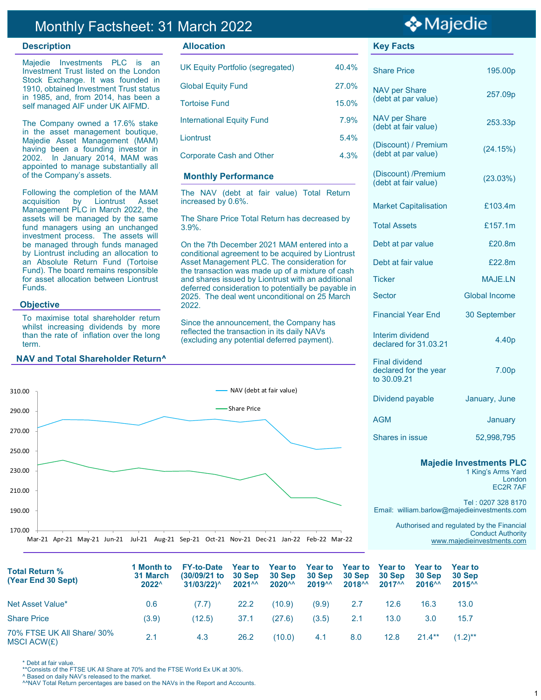## Monthly Factsheet: 31 March 2022

### **Description Allocation Key Facts**

Majedie Investments PLC is an Investment Trust listed on the London Stock Exchange. It was founded in 1910, obtained Investment Trust status in 1985, and, from 2014, has been a self managed AIF under UK AIFMD.

The Company owned a 17.6% stake in the asset management boutique, Majedie Asset Management (MAM) having been a founding investor in 2002. In January 2014, MAM was appointed to manage substantially all of the Company's assets.

Following the completion of the MAM acquisition by Liontrust Asset Management PLC in March 2022, the assets will be managed by the same fund managers using an unchanged investment process. The assets will be managed through funds managed by Liontrust including an allocation to an Absolute Return Fund (Tortoise Fund). The board remains responsible for asset allocation between Liontrust Funds.

#### **Objective**

To maximise total shareholder return whilst increasing dividends by more than the rate of inflation over the long term.

#### **NAV and Total Shareholder Return^**



| <b>UK Equity Portfolio (segregated)</b> | 40.4% |
|-----------------------------------------|-------|
| <b>Global Equity Fund</b>               | 27.0% |
| <b>Tortoise Fund</b>                    | 15.0% |
| <b>International Equity Fund</b>        | 7.9%  |
| Liontrust                               | 5.4%  |
| <b>Corporate Cash and Other</b>         | 4.3%  |
|                                         |       |

#### **Monthly Performance**

The NAV (debt at fair value) Total Return increased by 0.6%.

The Share Price Total Return has decreased by 3.9%.

On the 7th December 2021 MAM entered into a conditional agreement to be acquired by Liontrust Asset Management PLC. The consideration for the transaction was made up of a mixture of cash and shares issued by Liontrust with an additional deferred consideration to potentially be payable in 2025. The deal went unconditional on 25 March 2022.

Since the announcement, the Company has reflected the transaction in its daily NAVs (excluding any potential deferred payment).

# ❖ Majedie

| <b>Share Price</b>                                            | 195.00p           |
|---------------------------------------------------------------|-------------------|
| <b>NAV per Share</b><br>(debt at par value)                   | 257.09p           |
| <b>NAV per Share</b><br>(debt at fair value)                  | 253.33p           |
| (Discount) / Premium<br>(debt at par value)                   | (24.15%)          |
| (Discount) / Premium<br>(debt at fair value)                  | (23.03%)          |
| <b>Market Capitalisation</b>                                  | £103.4m           |
| <b>Total Assets</b>                                           | £157.1m           |
| Debt at par value                                             | £20.8m            |
| Debt at fair value                                            | £22.8m            |
| Ticker                                                        | MAJF IN           |
| Sector                                                        | Global Income     |
| <b>Financial Year End</b>                                     | 30 September      |
| Interim dividend<br>declared for 31,03.21                     | 4.40 <sub>p</sub> |
| <b>Final dividend</b><br>declared for the year<br>to 30.09.21 | 7.00p             |
| Dividend payable                                              | January, June     |
| AGM                                                           | January           |

Shares in issue 52,998,795

## **Majedie Investments PLC**

1 King's Arms Yard London EC2R 7AF

Tel : 0207 328 8170 Email: william.barlow@majedieinvestments.com

> Authorised and regulated by the Financial Conduct Authority [www.majedieinvestments.com](http://www.majedie.co.uk)

| <b>Total Return %</b><br>(Year End 30 Sept) | 1 Month to<br>31 March<br>2022^ | <b>FY-to-Date</b><br>$(30/09/21)$ to<br>$31/03/22$ <sup><math>\wedge</math></sup> | <b>Year to</b><br>30 Sep<br>$2021^{AA}$ | <b>Year to</b><br>30 Sep<br>$2020^{\wedge\wedge}$ | <b>Year to</b><br>30 Sep<br>2019 <sup>AA</sup> | <b>Year to</b><br>30 Sep<br>$2018^{\wedge\wedge}$ | <b>Year to</b><br>30 Sep<br>$2017^{\wedge\wedge}$ | <b>Year to</b><br>30 Sep<br>2016 <sup>AA</sup> | Year to<br>30 Sep<br>$2015^{\wedge\wedge}$ |
|---------------------------------------------|---------------------------------|-----------------------------------------------------------------------------------|-----------------------------------------|---------------------------------------------------|------------------------------------------------|---------------------------------------------------|---------------------------------------------------|------------------------------------------------|--------------------------------------------|
| Net Asset Value*                            | 0.6                             | (7.7)                                                                             | 22.2                                    | (10.9)                                            | (9.9)                                          | 2.7                                               | 12.6                                              | 16.3                                           | 13.0                                       |
| <b>Share Price</b>                          | (3.9)                           | (12.5)                                                                            | 37.1                                    | (27.6)                                            | (3.5)                                          | 2.1                                               | 13.0                                              | 3.0                                            | 15.7                                       |
| 70% FTSE UK All Share/ 30%<br>MSCI ACW(£)   | 2.1                             | 4.3                                                                               | 26.2                                    | (10.0)                                            | 4.1                                            | 8.0                                               | 12.8                                              | $21.4***$                                      | $(1.2)$ **                                 |

\* Debt at fair value.

\*\*Consists of the FTSE UK All Share at 70% and the FTSE World Ex UK at 30%.

^ Based on daily NAV's released to the market.

^^NAV Total Return percentages are based on the NAVs in the Report and Accounts.